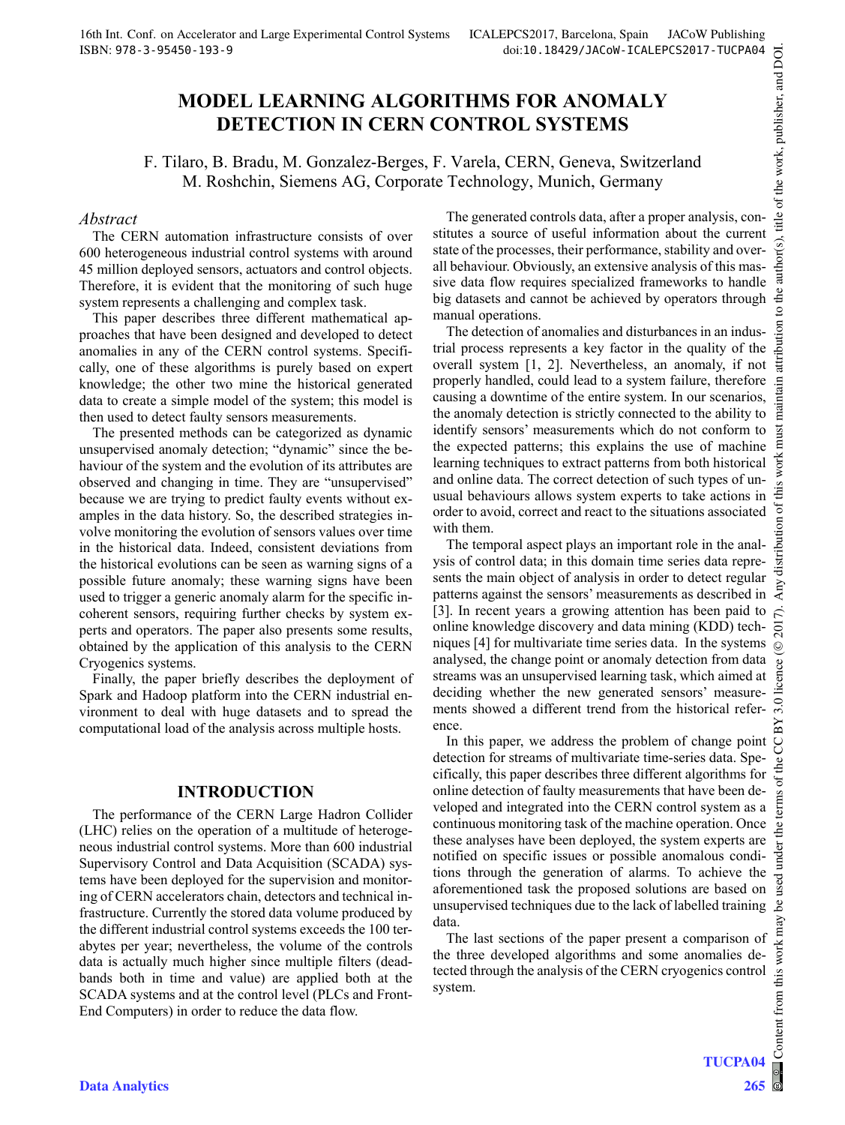# **MODEL LEARNING ALGORITHMS FOR ANOMALY DETECTION IN CERN CONTROL SYSTEMS**

F. Tilaro, B. Bradu, M. Gonzalez-Berges, F. Varela, CERN, Geneva, Switzerland M. Roshchin, Siemens AG, Corporate Technology, Munich, Germany

### *Abstract*

The CERN automation infrastructure consists of over 600 heterogeneous industrial control systems with around 45 million deployed sensors, actuators and control objects. Therefore, it is evident that the monitoring of such huge system represents a challenging and complex task.

This paper describes three different mathematical approaches that have been designed and developed to detect anomalies in any of the CERN control systems. Specifically, one of these algorithms is purely based on expert knowledge; the other two mine the historical generated data to create a simple model of the system; this model is then used to detect faulty sensors measurements.

The presented methods can be categorized as dynamic unsupervised anomaly detection; "dynamic" since the behaviour of the system and the evolution of its attributes are observed and changing in time. They are "unsupervised" because we are trying to predict faulty events without examples in the data history. So, the described strategies involve monitoring the evolution of sensors values over time in the historical data. Indeed, consistent deviations from the historical evolutions can be seen as warning signs of a possible future anomaly; these warning signs have been used to trigger a generic anomaly alarm for the specific incoherent sensors, requiring further checks by system experts and operators. The paper also presents some results, obtained by the application of this analysis to the CERN Cryogenics systems.

Finally, the paper briefly describes the deployment of Spark and Hadoop platform into the CERN industrial environment to deal with huge datasets and to spread the computational load of the analysis across multiple hosts.

### **INTRODUCTION**

The performance of the CERN Large Hadron Collider (LHC) relies on the operation of a multitude of heterogeneous industrial control systems. More than 600 industrial Supervisory Control and Data Acquisition (SCADA) systems have been deployed for the supervision and monitoring of CERN accelerators chain, detectors and technical infrastructure. Currently the stored data volume produced by the different industrial control systems exceeds the 100 terabytes per year; nevertheless, the volume of the controls data is actually much higher since multiple filters (deadbands both in time and value) are applied both at the SCADA systems and at the control level (PLCs and Front-End Computers) in order to reduce the data flow.

The generated controls data, after a proper analysis, constitutes a source of useful information about the current state of the processes, their performance, stability and overall behaviour. Obviously, an extensive analysis of this massive data flow requires specialized frameworks to handle big datasets and cannot be achieved by operators through manual operations.

The detection of anomalies and disturbances in an industrial process represents a key factor in the quality of the overall system [1, 2]. Nevertheless, an anomaly, if not properly handled, could lead to a system failure, therefore causing a downtime of the entire system. In our scenarios, the anomaly detection is strictly connected to the ability to identify sensors' measurements which do not conform to the expected patterns; this explains the use of machine learning techniques to extract patterns from both historical and online data. The correct detection of such types of unusual behaviours allows system experts to take actions in order to avoid, correct and react to the situations associated with them.

The temporal aspect plays an important role in the analysis of control data; in this domain time series data represents the main object of analysis in order to detect regular patterns against the sensors' measurements as described in [3]. In recent years a growing attention has been paid to online knowledge discovery and data mining (KDD) techniques [4] for multivariate time series data. In the systems analysed, the change point or anomaly detection from data streams was an unsupervised learning task, which aimed at deciding whether the new generated sensors' measurements showed a different trend from the historical reference.

In this paper, we address the problem of change point detection for streams of multivariate time-series data. Specifically, this paper describes three different algorithms for online detection of faulty measurements that have been developed and integrated into the CERN control system as a continuous monitoring task of the machine operation. Once these analyses have been deployed, the system experts are notified on specific issues or possible anomalous conditions through the generation of alarms. To achieve the aforementioned task the proposed solutions are based on unsupervised techniques due to the lack of labelled training  $\beta$ data.

The last sections of the paper present a comparison of the three developed algorithms and some anomalies detected through the analysis of the CERN cryogenics control system.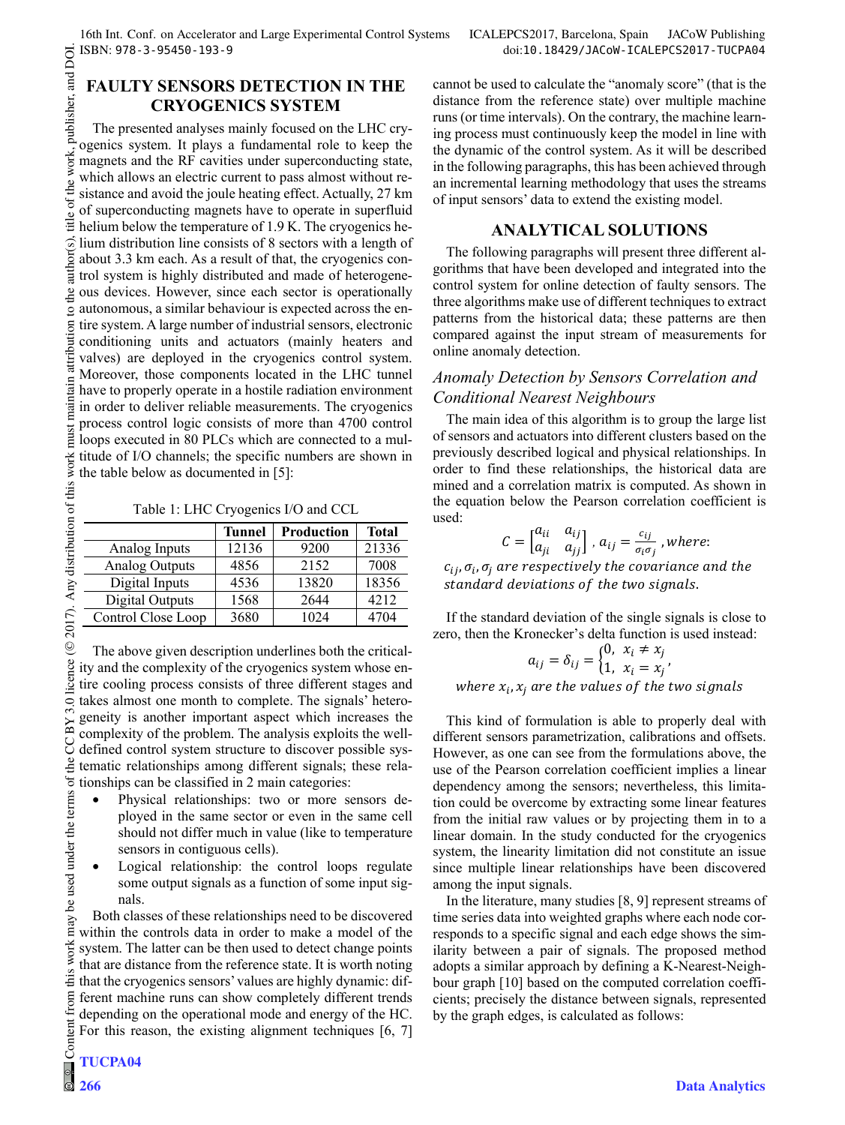# **FAULTY SENSORS DETECTION IN THE CRYOGENICS SYSTEM**

work.

of the

the

attribution

must

 $\overline{\rm BV}$ 

the

 $max$ work this from

publisher, and DOI. 2017). Any distribution of this work must maintain attribution to the author(s), title of the work, publisher, and DOI. The presented analyses mainly focused on the LHC cryogenics system. It plays a fundamental role to keep the magnets and the RF cavities under superconducting state, which allows an electric current to pass almost without resistance and avoid the joule heating effect. Actually, 27 km of superconducting magnets have to operate in superfluid title helium below the temperature of 1.9 K. The cryogenics heauthor(s). lium distribution line consists of 8 sectors with a length of about 3.3 km each. As a result of that, the cryogenics control system is highly distributed and made of heterogeneous devices. However, since each sector is operationally autonomous, a similar behaviour is expected across the en- $\overline{S}$ tire system. A large number of industrial sensors, electronic conditioning units and actuators (mainly heaters and valves) are deployed in the cryogenics control system. Moreover, those components located in the LHC tunnel naintain have to properly operate in a hostile radiation environment in order to deliver reliable measurements. The cryogenics process control logic consists of more than 4700 control loops executed in 80 PLCs which are connected to a multitude of I/O channels; the specific numbers are shown in the table below as documented in [5]:

Table 1: LHC Cryogenics I/O and CCL

|                       | <b>Tunnel</b> | <b>Production</b> | Total |
|-----------------------|---------------|-------------------|-------|
| Analog Inputs         | 12136         | 9200              | 21336 |
| <b>Analog Outputs</b> | 4856          | 2152              | 7008  |
| Digital Inputs        | 4536          | 13820             | 18356 |
| Digital Outputs       | 1568          | 2644              | 4212  |
| Control Close Loop    | 3680          | 1024              | 4704  |

The above given description underlines both the critical-Content from this work may be used under the terms of the CC BY 3.0 licence ( $@$ ity and the complexity of the cryogenics system whose entire cooling process consists of three different stages and  $3.0$ takes almost one month to complete. The signals' heterogeneity is another important aspect which increases the complexity of the problem. The analysis exploits the well-S defined control system structure to discover possible systematic relationships among different signals; these relabe used under the terms of tionships can be classified in 2 main categories:

- Physical relationships: two or more sensors deployed in the same sector or even in the same cell should not differ much in value (like to temperature sensors in contiguous cells).
- Logical relationship: the control loops regulate some output signals as a function of some input signals.

Both classes of these relationships need to be discovered within the controls data in order to make a model of the system. The latter can be then used to detect change points that are distance from the reference state. It is worth noting that the cryogenics sensors' values are highly dynamic: different machine runs can show completely different trends depending on the operational mode and energy of the HC. For this reason, the existing alignment techniques [6, 7]

**266**

 $\begin{matrix} 6 \ \end{matrix}$ 

cannot be used to calculate the "anomaly score" (that is the distance from the reference state) over multiple machine runs (or time intervals). On the contrary, the machine learning process must continuously keep the model in line with the dynamic of the control system. As it will be described in the following paragraphs, this has been achieved through an incremental learning methodology that uses the streams of input sensors' data to extend the existing model.

## **ANALYTICAL SOLUTIONS**

The following paragraphs will present three different algorithms that have been developed and integrated into the control system for online detection of faulty sensors. The three algorithms make use of different techniques to extract patterns from the historical data; these patterns are then compared against the input stream of measurements for online anomaly detection.

## *Anomaly Detection by Sensors Correlation and Conditional Nearest Neighbours*

The main idea of this algorithm is to group the large list of sensors and actuators into different clusters based on the previously described logical and physical relationships. In order to find these relationships, the historical data are mined and a correlation matrix is computed. As shown in the equation below the Pearson correlation coefficient is used:

$$
C = \begin{bmatrix} a_{ii} & a_{ij} \\ a_{ji} & a_{jj} \end{bmatrix}, a_{ij} = \frac{c_{ij}}{\sigma_i \sigma_j}, where:
$$

 $c_{ij}$ ,  $\sigma_i$ ,  $\sigma_j$  are respectively the covariance and the standard deviations of the two signals.

If the standard deviation of the single signals is close to zero, then the Kronecker's delta function is used instead:

$$
a_{ij}=\delta_{ij}=\begin{cases}0, & x_i\neq x_j\\1, & x_i=x_j\end{cases}
$$

where  $x_i$ ,  $x_j$  are the values of the two signals

This kind of formulation is able to properly deal with different sensors parametrization, calibrations and offsets. However, as one can see from the formulations above, the use of the Pearson correlation coefficient implies a linear dependency among the sensors; nevertheless, this limitation could be overcome by extracting some linear features from the initial raw values or by projecting them in to a linear domain. In the study conducted for the cryogenics system, the linearity limitation did not constitute an issue since multiple linear relationships have been discovered among the input signals.

In the literature, many studies [8, 9] represent streams of time series data into weighted graphs where each node corresponds to a specific signal and each edge shows the similarity between a pair of signals. The proposed method adopts a similar approach by defining a K-Nearest-Neighbour graph [10] based on the computed correlation coefficients; precisely the distance between signals, represented by the graph edges, is calculated as follows: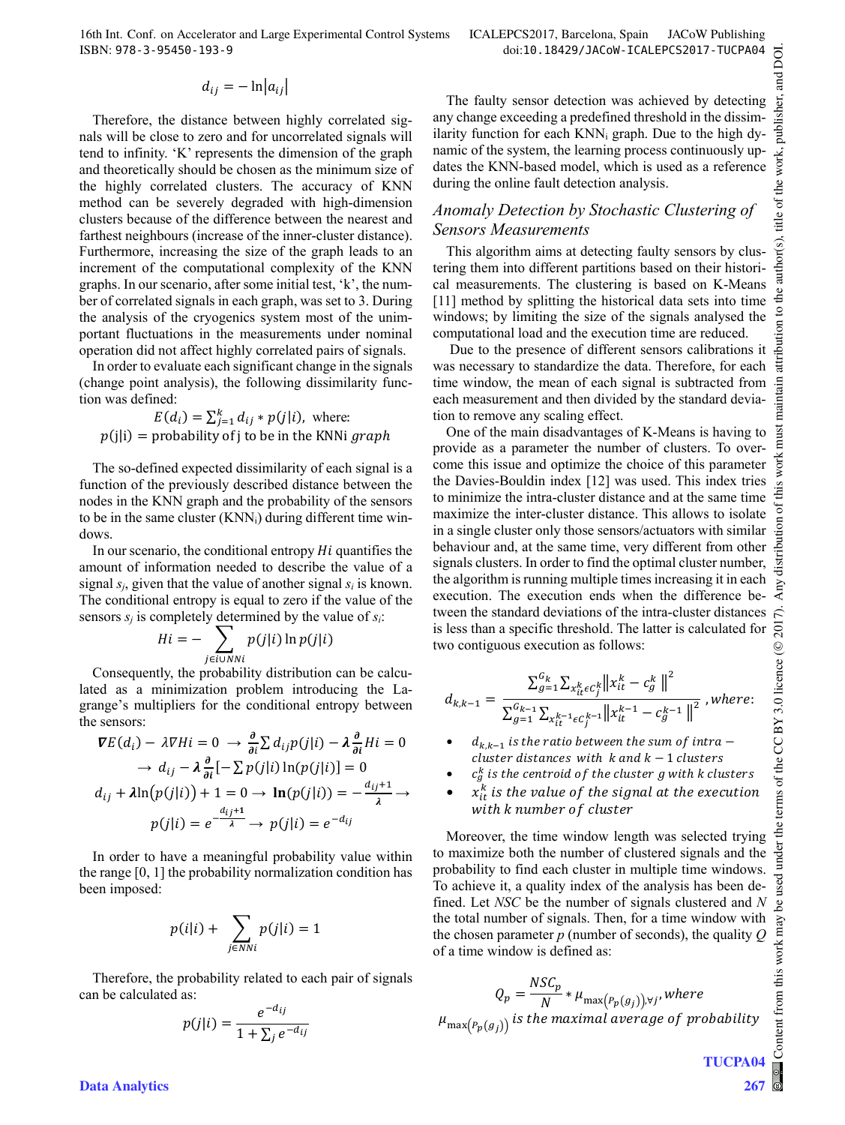16th Int. Conf. on Accelerator and Large Experimental Control Systems ICALEPCS2017, Barcelona, Spain JACoW Publishing ISBN: 978-3-95450-193-9 doi:10.18429/JACoW-ICALEPCS2017-TUCPA04

$$
d_{ij} = -\ln|a_{ij}|
$$

Therefore, the distance between highly correlated signals will be close to zero and for uncorrelated signals will tend to infinity. 'K' represents the dimension of the graph and theoretically should be chosen as the minimum size of the highly correlated clusters. The accuracy of KNN method can be severely degraded with high-dimension clusters because of the difference between the nearest and farthest neighbours (increase of the inner-cluster distance). Furthermore, increasing the size of the graph leads to an increment of the computational complexity of the KNN graphs. In our scenario, after some initial test, 'k', the number of correlated signals in each graph, was set to 3. During the analysis of the cryogenics system most of the unimportant fluctuations in the measurements under nominal operation did not affect highly correlated pairs of signals.

In order to evaluate each significant change in the signals (change point analysis), the following dissimilarity function was defined:

$$
E(d_i) = \sum_{j=1}^{k} d_{ij} * p(j|i)
$$
, where:  

$$
p(j|i) =
$$
 probability of j to be in the KNNi *graph*

The so-defined expected dissimilarity of each signal is a function of the previously described distance between the nodes in the KNN graph and the probability of the sensors to be in the same cluster  $(KNN_i)$  during different time windows.

In our scenario, the conditional entropy  $Hi$  quantifies the amount of information needed to describe the value of a signal  $s_i$ , given that the value of another signal  $s_i$  is known. The conditional entropy is equal to zero if the value of the sensors  $s_i$  is completely determined by the value of  $s_i$ :

$$
Hi = -\sum_{j \in i \cup NNi} p(j|i) \ln p(j|i)
$$

Consequently, the probability distribution can be calculated as a minimization problem introducing the Lagrange's multipliers for the conditional entropy between the sensors:

$$
\nabla E(d_i) - \lambda \nabla H i = 0 \rightarrow \frac{\partial}{\partial i} \sum d_{ij} p(j|i) - \lambda \frac{\partial}{\partial i} H i = 0
$$
  
\n
$$
\rightarrow d_{ij} - \lambda \frac{\partial}{\partial i} [-\sum p(j|i) \ln(p(j|i)] = 0
$$
  
\n
$$
d_{ij} + \lambda \ln(p(j|i)) + 1 = 0 \rightarrow \ln(p(j|i)) = -\frac{d_{ij}+1}{\lambda} \rightarrow
$$
  
\n
$$
p(j|i) = e^{-\frac{d_{ij}+1}{\lambda}} \rightarrow p(j|i) = e^{-d_{ij}}
$$

In order to have a meaningful probability value within the range [0, 1] the probability normalization condition has been imposed:

$$
p(i|i) + \sum_{j \in NNi} p(j|i) = 1
$$

Therefore, the probability related to each pair of signals can be calculated as:

$$
p(j|i) = \frac{e^{-d_{ij}}}{1 + \sum_j e^{-d_{ij}}}
$$

The faulty sensor detection was achieved by detecting any change exceeding a predefined threshold in the dissimilarity function for each  $KNN_i$  graph. Due to the high dynamic of the system, the learning process continuously updates the KNN-based model, which is used as a reference during the online fault detection analysis.

### *Anomaly Detection by Stochastic Clustering of Sensors Measurements*

This algorithm aims at detecting faulty sensors by clustering them into different partitions based on their historical measurements. The clustering is based on K-Means [11] method by splitting the historical data sets into time windows; by limiting the size of the signals analysed the computational load and the execution time are reduced.

 Due to the presence of different sensors calibrations it was necessary to standardize the data. Therefore, for each time window, the mean of each signal is subtracted from each measurement and then divided by the standard deviation to remove any scaling effect.

One of the main disadvantages of K-Means is having to provide as a parameter the number of clusters. To overcome this issue and optimize the choice of this parameter the Davies-Bouldin index [12] was used. This index tries to minimize the intra-cluster distance and at the same time maximize the inter-cluster distance. This allows to isolate in a single cluster only those sensors/actuators with similar behaviour and, at the same time, very different from other signals clusters. In order to find the optimal cluster number, the algorithm is running multiple times increasing it in each execution. The execution ends when the difference between the standard deviations of the intra-cluster distances is less than a specific threshold. The latter is calculated for two contiguous execution as follows:

$$
d_{k,k-1} = \frac{\sum_{g=1}^{G_k} \sum_{x_{it}^k \in C_j^k} ||x_{it}^k - c_g^k||^2}{\sum_{g=1}^{G_{k-1}} \sum_{x_{it}^k - i \in C_j^{k-1}} ||x_{it}^{k-1} - c_g^{k-1}||^2}, where:
$$

- $d_{k,k-1}$  is the ratio between the sum of intra cluster distances with  $k$  and  $k - 1$  clusters
- $c_g^k$  is the centroid of the cluster  $g$  with  $k$  clusters
- $x_{it}^k$  is the value of the signal at the execution with k number of cluster

Moreover, the time window length was selected trying to maximize both the number of clustered signals and the probability to find each cluster in multiple time windows. To achieve it, a quality index of the analysis has been defined. Let *NSC* be the number of signals clustered and *N* the total number of signals. Then, for a time window with the chosen parameter *p* (number of seconds), the quality *Q* of a time window is defined as:

$$
Q_p = \frac{NSC_p}{N} * \mu_{\max\left(P_p(g_j)\right), \forall j'} where
$$

$$
\mu_{\max\left(P_p(g_j)\right)} is\ the\ maximal\ average\ of\ probability
$$

**TUCPA04**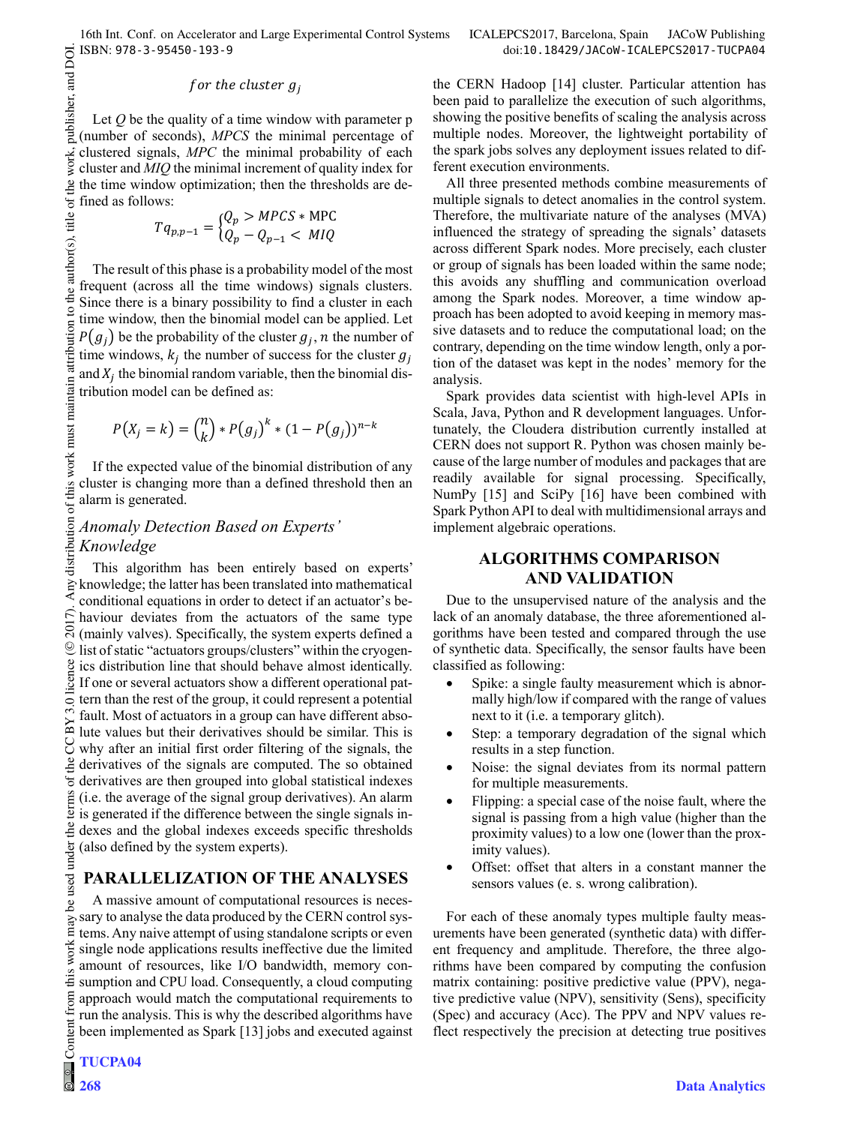**TUCPA04**

**268**

### for the cluster  $g_i$

Let *Q* be the quality of a time window with parameter p (number of seconds), *MPCS* the minimal percentage of clustered signals, *MPC* the minimal probability of each cluster and *MIQ* the minimal increment of quality index for the time window optimization; then the thresholds are defined as follows:

$$
T q_{p,p-1} = \begin{cases} Q_p > \text{MPCS} * \text{MPC} \\ Q_p - Q_{p-1} < \text{MIQ} \end{cases}
$$

The result of this phase is a probability model of the most frequent (across all the time windows) signals clusters. Since there is a binary possibility to find a cluster in each time window, then the binomial model can be applied. Let  $P(g_i)$  be the probability of the cluster  $g_i$ ,  $n$  the number of time windows,  $k_j$  the number of success for the cluster  $g_j$ and  $X_i$  the binomial random variable, then the binomial distribution model can be defined as:

$$
P(X_j = k) = {n \choose k} * P(g_j)^k * (1 - P(g_j))^{n-k}
$$

If the expected value of the binomial distribution of any cluster is changing more than a defined threshold then an alarm is generated.

## *Anomaly Detection Based on Experts' Knowledge*

This algorithm has been entirely based on experts' knowledge; the latter has been translated into mathematical conditional equations in order to detect if an actuator's behaviour deviates from the actuators of the same type (mainly valves). Specifically, the system experts defined a list of static "actuators groups/clusters" within the cryogenics distribution line that should behave almost identically. If one or several actuators show a different operational pattern than the rest of the group, it could represent a potential fault. Most of actuators in a group can have different absolute values but their derivatives should be similar. This is why after an initial first order filtering of the signals, the derivatives of the signals are computed. The so obtained derivatives are then grouped into global statistical indexes (i.e. the average of the signal group derivatives). An alarm is generated if the difference between the single signals indexes and the global indexes exceeds specific thresholds (also defined by the system experts).

# **PARALLELIZATION OF THE ANALYSES**

A massive amount of computational resources is necessary to analyse the data produced by the CERN control systems. Any naive attempt of using standalone scripts or even single node applications results ineffective due the limited amount of resources, like I/O bandwidth, memory consumption and CPU load. Consequently, a cloud computing approach would match the computational requirements to run the analysis. This is why the described algorithms have been implemented as Spark [13] jobs and executed against the CERN Hadoop [14] cluster. Particular attention has been paid to parallelize the execution of such algorithms, showing the positive benefits of scaling the analysis across multiple nodes. Moreover, the lightweight portability of the spark jobs solves any deployment issues related to different execution environments.

All three presented methods combine measurements of multiple signals to detect anomalies in the control system. Therefore, the multivariate nature of the analyses (MVA) influenced the strategy of spreading the signals' datasets across different Spark nodes. More precisely, each cluster or group of signals has been loaded within the same node; this avoids any shuffling and communication overload among the Spark nodes. Moreover, a time window approach has been adopted to avoid keeping in memory massive datasets and to reduce the computational load; on the contrary, depending on the time window length, only a portion of the dataset was kept in the nodes' memory for the analysis.

Spark provides data scientist with high-level APIs in Scala, Java, Python and R development languages. Unfortunately, the Cloudera distribution currently installed at CERN does not support R. Python was chosen mainly because of the large number of modules and packages that are readily available for signal processing. Specifically, NumPy [15] and SciPy [16] have been combined with Spark Python API to deal with multidimensional arrays and implement algebraic operations.

## **ALGORITHMS COMPARISON AND VALIDATION**

Due to the unsupervised nature of the analysis and the lack of an anomaly database, the three aforementioned algorithms have been tested and compared through the use of synthetic data. Specifically, the sensor faults have been classified as following:

- Spike: a single faulty measurement which is abnormally high/low if compared with the range of values next to it (i.e. a temporary glitch).
- Step: a temporary degradation of the signal which results in a step function.
- Noise: the signal deviates from its normal pattern for multiple measurements.
- Flipping: a special case of the noise fault, where the signal is passing from a high value (higher than the proximity values) to a low one (lower than the proximity values).
- Offset: offset that alters in a constant manner the sensors values (e. s. wrong calibration).

For each of these anomaly types multiple faulty measurements have been generated (synthetic data) with different frequency and amplitude. Therefore, the three algorithms have been compared by computing the confusion matrix containing: positive predictive value (PPV), negative predictive value (NPV), sensitivity (Sens), specificity (Spec) and accuracy (Acc). The PPV and NPV values reflect respectively the precision at detecting true positives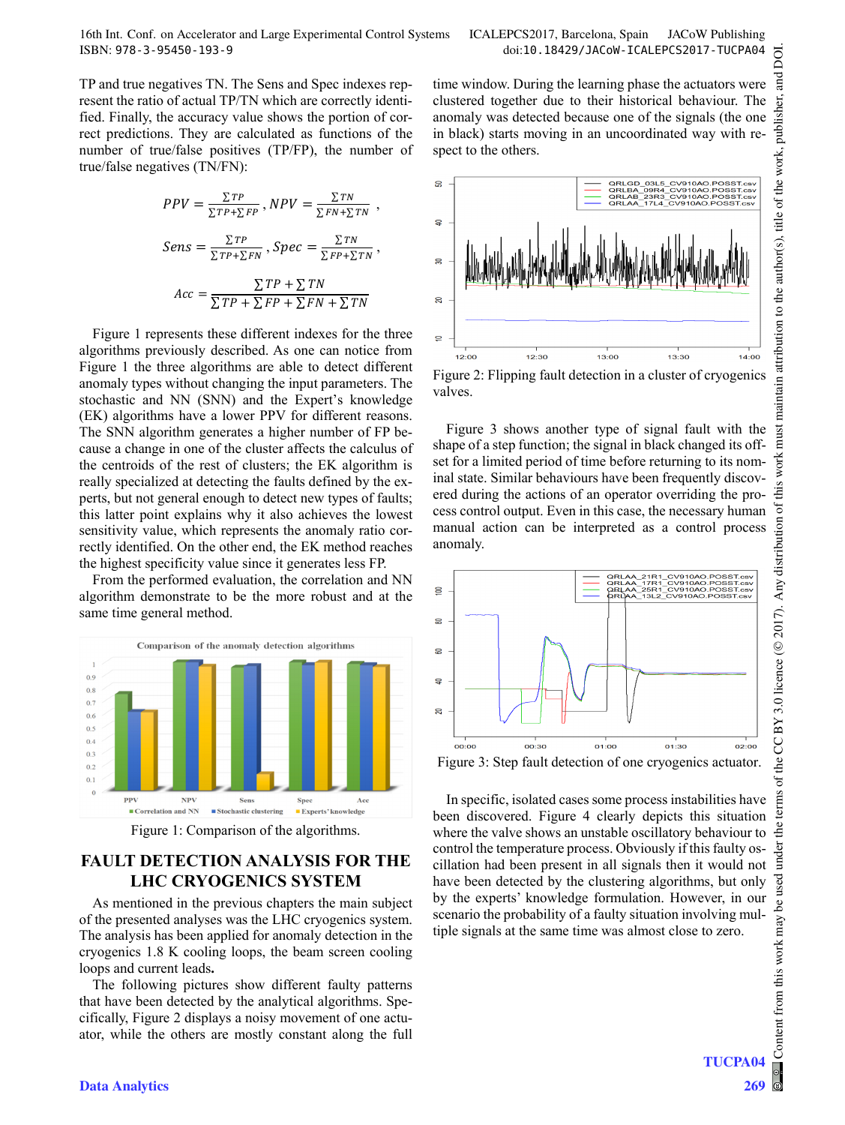16th Int. Conf. on Accelerator and Large Experimental Control Systems ICALEPCS2017, Barcelona, Spain JACoW Publishing ISBN: 978-3-95450-193-9 doi:10.18429/JACoW-ICALEPCS2017-TUCPA04

TP and true negatives TN. The Sens and Spec indexes represent the ratio of actual TP/TN which are correctly identified. Finally, the accuracy value shows the portion of correct predictions. They are calculated as functions of the number of true/false positives (TP/FP), the number of true/false negatives (TN/FN):

$$
PPV = \frac{\sum TP}{\sum TP + \sum FP}, NPV = \frac{\sum TN}{\sum FN + \sum TN},
$$

$$
Sens = \frac{\sum TP}{\sum TP + \sum FN}, Spec = \frac{\sum TN}{\sum FP + \sum TN},
$$

$$
Acc = \frac{\sum TP + \sum TN}{\sum TP + \sum FP + \sum FN + \sum TN}
$$

Figure 1 represents these different indexes for the three algorithms previously described. As one can notice from Figure 1 the three algorithms are able to detect different anomaly types without changing the input parameters. The stochastic and NN (SNN) and the Expert's knowledge (EK) algorithms have a lower PPV for different reasons. The SNN algorithm generates a higher number of FP because a change in one of the cluster affects the calculus of the centroids of the rest of clusters; the EK algorithm is really specialized at detecting the faults defined by the experts, but not general enough to detect new types of faults; this latter point explains why it also achieves the lowest sensitivity value, which represents the anomaly ratio correctly identified. On the other end, the EK method reaches the highest specificity value since it generates less FP.

From the performed evaluation, the correlation and NN algorithm demonstrate to be the more robust and at the same time general method.



Figure 1: Comparison of the algorithms.

# **FAULT DETECTION ANALYSIS FOR THE LHC CRYOGENICS SYSTEM**

As mentioned in the previous chapters the main subject of the presented analyses was the LHC cryogenics system. The analysis has been applied for anomaly detection in the cryogenics 1.8 K cooling loops, the beam screen cooling loops and current leads**.**

The following pictures show different faulty patterns that have been detected by the analytical algorithms. Specifically, Figure 2 displays a noisy movement of one actuator, while the others are mostly constant along the full



time window. During the learning phase the actuators were clustered together due to their historical behaviour. The anomaly was detected because one of the signals (the one in black) starts moving in an uncoordinated way with re-

spect to the others.

Figure 2: Flipping fault detection in a cluster of cryogenics valves.

Figure 3 shows another type of signal fault with the shape of a step function; the signal in black changed its offset for a limited period of time before returning to its nominal state. Similar behaviours have been frequently discovered during the actions of an operator overriding the process control output. Even in this case, the necessary human manual action can be interpreted as a control process anomaly.



Figure 3: Step fault detection of one cryogenics actuator.

In specific, isolated cases some process instabilities have been discovered. Figure 4 clearly depicts this situation where the valve shows an unstable oscillatory behaviour to control the temperature process. Obviously if this faulty oscillation had been present in all signals then it would not have been detected by the clustering algorithms, but only by the experts' knowledge formulation. However, in our scenario the probability of a faulty situation involving multiple signals at the same time was almost close to zero.

**TUCPA04**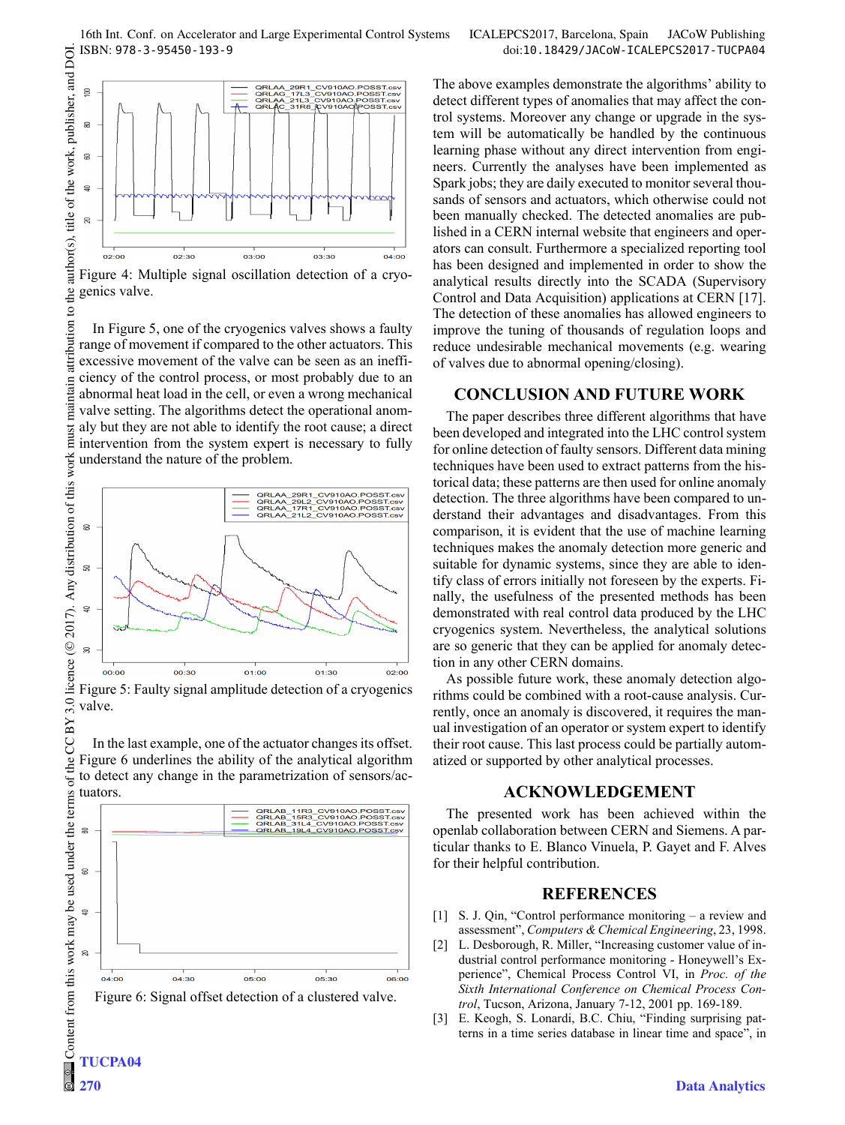

Figure 4: Multiple signal oscillation detection of a cryogenics valve.

In Figure 5, one of the cryogenics valves shows a faulty range of movement if compared to the other actuators. This excessive movement of the valve can be seen as an inefficiency of the control process, or most probably due to an maintain abnormal heat load in the cell, or even a wrong mechanical valve setting. The algorithms detect the operational anommust aly but they are not able to identify the root cause; a direct intervention from the system expert is necessary to fully understand the nature of the problem.



Figure 5: Faulty signal amplitude detection of a cryogenics valve.

In the last example, one of the actuator changes its offset. Figure 6 underlines the ability of the analytical algorithm to detect any change in the parametrization of sensors/actuators.



Figure 6: Signal offset detection of a clustered valve.

The above examples demonstrate the algorithms' ability to detect different types of anomalies that may affect the control systems. Moreover any change or upgrade in the system will be automatically be handled by the continuous learning phase without any direct intervention from engineers. Currently the analyses have been implemented as Spark jobs; they are daily executed to monitor several thousands of sensors and actuators, which otherwise could not been manually checked. The detected anomalies are published in a CERN internal website that engineers and operators can consult. Furthermore a specialized reporting tool has been designed and implemented in order to show the analytical results directly into the SCADA (Supervisory Control and Data Acquisition) applications at CERN [17]. The detection of these anomalies has allowed engineers to improve the tuning of thousands of regulation loops and reduce undesirable mechanical movements (e.g. wearing of valves due to abnormal opening/closing).

#### **CONCLUSION AND FUTURE WORK**

The paper describes three different algorithms that have been developed and integrated into the LHC control system for online detection of faulty sensors. Different data mining techniques have been used to extract patterns from the historical data; these patterns are then used for online anomaly detection. The three algorithms have been compared to understand their advantages and disadvantages. From this comparison, it is evident that the use of machine learning techniques makes the anomaly detection more generic and suitable for dynamic systems, since they are able to identify class of errors initially not foreseen by the experts. Finally, the usefulness of the presented methods has been demonstrated with real control data produced by the LHC cryogenics system. Nevertheless, the analytical solutions are so generic that they can be applied for anomaly detection in any other CERN domains.

As possible future work, these anomaly detection algorithms could be combined with a root-cause analysis. Currently, once an anomaly is discovered, it requires the manual investigation of an operator or system expert to identify their root cause. This last process could be partially automatized or supported by other analytical processes.

### **ACKNOWLEDGEMENT**

The presented work has been achieved within the openlab collaboration between CERN and Siemens. A particular thanks to E. Blanco Vinuela, P. Gayet and F. Alves for their helpful contribution.

### **REFERENCES**

- [1] S. J. Qin, "Control performance monitoring a review and assessment", *Computers & Chemical Engineering*, 23, 1998.
- [2] L. Desborough, R. Miller, "Increasing customer value of industrial control performance monitoring - Honeywell's Experience", Chemical Process Control VI, in *Proc. of the Sixth International Conference on Chemical Process Control*, Tucson, Arizona, January 7-12, 2001 pp. 169-189.
- [3] E. Keogh, S. Lonardi, B.C. Chiu, "Finding surprising patterns in a time series database in linear time and space", in

 $3.01$ 

CC BY